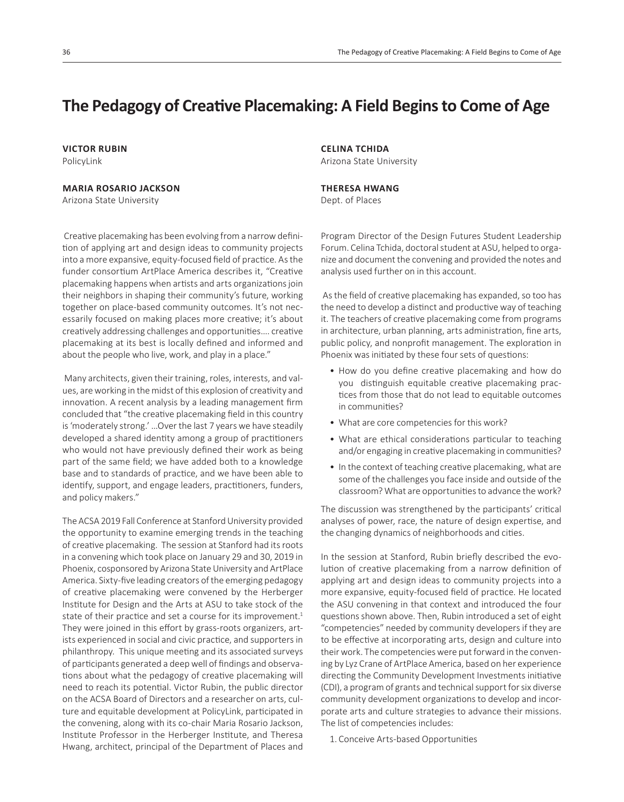# The Pedagogy of Creative Placemaking: A Field Begins to Come of Age

**VICTOR RUBIN** PolicyLink

# **MARIA ROSARIO JACKSON**

Arizona State University

Creative placemaking has been evolving from a narrow definition of applying art and design ideas to community projects into a more expansive, equity-focused field of practice. As the funder consortium ArtPlace America describes it, "Creative placemaking happens when artists and arts organizations join their neighbors in shaping their community's future, working together on place-based community outcomes. It's not necessarily focused on making places more creative; it's about creatively addressing challenges and opportunities.... creative placemaking at its best is locally defined and informed and about the people who live, work, and play in a place."

 Many architects, given their training, roles, interests, and values, are working in the midst of this explosion of creativity and innovation. A recent analysis by a leading management firm concluded that "the creative placemaking field in this country is 'moderately strong.' …Over the last 7 years we have steadily developed a shared identity among a group of practitioners who would not have previously defined their work as being part of the same field; we have added both to a knowledge base and to standards of practice, and we have been able to identify, support, and engage leaders, practitioners, funders, and policy makers."

The ACSA 2019 Fall Conference at Stanford University provided the opportunity to examine emerging trends in the teaching of creative placemaking. The session at Stanford had its roots in a convening which took place on January 29 and 30, 2019 in Phoenix, cosponsored by Arizona State University and ArtPlace America. Sixty-five leading creators of the emerging pedagogy of creative placemaking were convened by the Herberger Institute for Design and the Arts at ASU to take stock of the state of their practice and set a course for its improvement.<sup>1</sup> They were joined in this effort by grass-roots organizers, artists experienced in social and civic practice, and supporters in philanthropy. This unique meeting and its associated surveys of participants generated a deep well of findings and observations about what the pedagogy of creative placemaking will need to reach its potential. Victor Rubin, the public director on the ACSA Board of Directors and a researcher on arts, culture and equitable development at PolicyLink, participated in the convening, along with its co-chair Maria Rosario Jackson, Institute Professor in the Herberger Institute, and Theresa Hwang, architect, principal of the Department of Places and

**CELINA TCHIDA** Arizona State University

### **THERESA HWANG**

Dept. of Places

Program Director of the Design Futures Student Leadership Forum. Celina Tchida, doctoral student at ASU, helped to organize and document the convening and provided the notes and analysis used further on in this account.

As the field of creative placemaking has expanded, so too has the need to develop a distinct and productive way of teaching it. The teachers of creative placemaking come from programs in architecture, urban planning, arts administration, fine arts, public policy, and nonprofit management. The exploration in Phoenix was initiated by these four sets of questions:

- How do you define creative placemaking and how do you distinguish equitable creative placemaking practices from those that do not lead to equitable outcomes in communities?
- What are core competencies for this work?
- What are ethical considerations particular to teaching and/or engaging in creative placemaking in communities?
- In the context of teaching creative placemaking, what are some of the challenges you face inside and outside of the classroom? What are opportunities to advance the work?

The discussion was strengthened by the participants' critical analyses of power, race, the nature of design expertise, and the changing dynamics of neighborhoods and cities.

In the session at Stanford, Rubin briefly described the evolution of creative placemaking from a narrow definition of applying art and design ideas to community projects into a more expansive, equity-focused field of practice. He located the ASU convening in that context and introduced the four questions shown above. Then, Rubin introduced a set of eight "competencies" needed by community developers if they are to be effective at incorporating arts, design and culture into their work. The competencies were put forward in the convening by Lyz Crane of ArtPlace America, based on her experience directing the Community Development Investments initiative (CDI), a program of grants and technical support for six diverse community development organizations to develop and incorporate arts and culture strategies to advance their missions. The list of competencies includes:

1. Conceive Arts-based Opportunities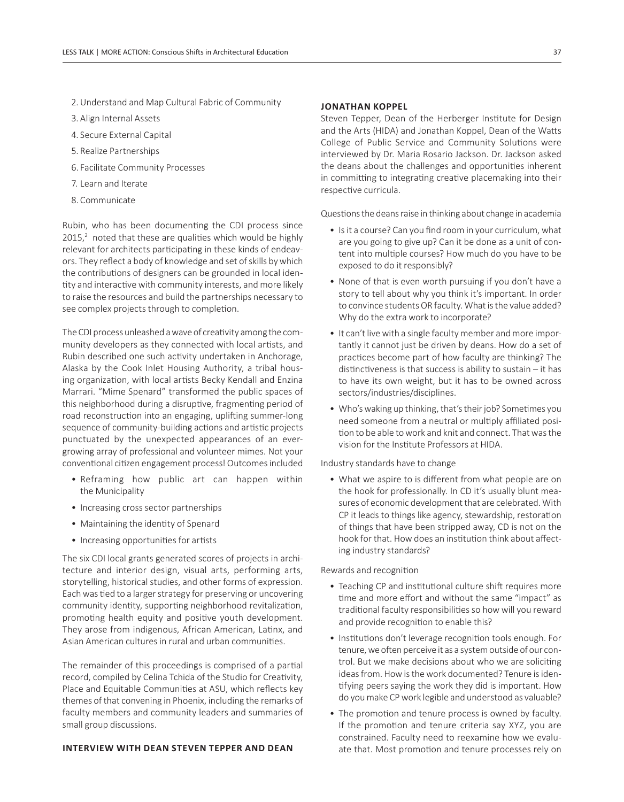- 2. Understand and Map Cultural Fabric of Community
- 3. Align Internal Assets
- 4. Secure External Capital
- 5. Realize Partnerships
- 6. Facilitate Community Processes
- 7. Learn and Iterate
- 8. Communicate

Rubin, who has been documenting the CDI process since  $2015$ ,<sup>2</sup> noted that these are qualities which would be highly relevant for architects participating in these kinds of endeavors. They reflect a body of knowledge and set of skills by which the contributions of designers can be grounded in local identity and interactive with community interests, and more likely to raise the resources and build the partnerships necessary to see complex projects through to completion.

The CDI process unleashed a wave of creativity among the community developers as they connected with local artists, and Rubin described one such activity undertaken in Anchorage, Alaska by the Cook Inlet Housing Authority, a tribal housing organization, with local artists Becky Kendall and Enzina Marrari. "Mime Spenard" transformed the public spaces of this neighborhood during a disruptive, fragmenting period of road reconstruction into an engaging, uplifting summer-long sequence of community-building actions and artistic projects punctuated by the unexpected appearances of an evergrowing array of professional and volunteer mimes. Not your conventional citizen engagement process! Outcomes included

- Reframing how public art can happen within the Municipality
- Increasing cross sector partnerships
- Maintaining the identity of Spenard
- Increasing opportunities for artists

The six CDI local grants generated scores of projects in architecture and interior design, visual arts, performing arts, storytelling, historical studies, and other forms of expression. Each was tied to a larger strategy for preserving or uncovering community identity, supporting neighborhood revitalization, promoting health equity and positive youth development. They arose from indigenous, African American, Latinx, and Asian American cultures in rural and urban communities.

The remainder of this proceedings is comprised of a partial record, compiled by Celina Tchida of the Studio for Creativity, Place and Equitable Communities at ASU, which reflects key themes of that convening in Phoenix, including the remarks of faculty members and community leaders and summaries of small group discussions.

#### **INTERVIEW WITH DEAN STEVEN TEPPER AND DEAN**

#### **JONATHAN KOPPEL**

Steven Tepper, Dean of the Herberger Institute for Design and the Arts (HIDA) and Jonathan Koppel, Dean of the Watts College of Public Service and Community Solutions were interviewed by Dr. Maria Rosario Jackson. Dr. Jackson asked the deans about the challenges and opportunities inherent in committing to integrating creative placemaking into their respective curricula.

Questions the deans raise in thinking about change in academia

- Is it a course? Can you find room in your curriculum, what are you going to give up? Can it be done as a unit of content into multiple courses? How much do you have to be exposed to do it responsibly?
- None of that is even worth pursuing if you don't have a story to tell about why you think it's important. In order to convince students OR faculty. What is the value added? Why do the extra work to incorporate?
- It can't live with a single faculty member and more importantly it cannot just be driven by deans. How do a set of practices become part of how faculty are thinking? The distinctiveness is that success is ability to sustain  $-$  it has to have its own weight, but it has to be owned across sectors/industries/disciplines.
- Who's waking up thinking, that's their job? Sometimes you need someone from a neutral or multiply affiliated position to be able to work and knit and connect. That was the vision for the Institute Professors at HIDA.

Industry standards have to change

• What we aspire to is different from what people are on the hook for professionally. In CD it's usually blunt measures of economic development that are celebrated. With CP it leads to things like agency, stewardship, restoration of things that have been stripped away, CD is not on the hook for that. How does an institution think about affecting industry standards?

Rewards and recognition

- Teaching CP and institutional culture shift requires more time and more effort and without the same "impact" as traditional faculty responsibilities so how will you reward and provide recognition to enable this?
- Institutions don't leverage recognition tools enough. For tenure, we often perceive it as a system outside of our control. But we make decisions about who we are soliciting ideas from. How is the work documented? Tenure is identifying peers saying the work they did is important. How do you make CP work legible and understood as valuable?
- The promotion and tenure process is owned by faculty. If the promotion and tenure criteria say XYZ, you are constrained. Faculty need to reexamine how we evaluate that. Most promotion and tenure processes rely on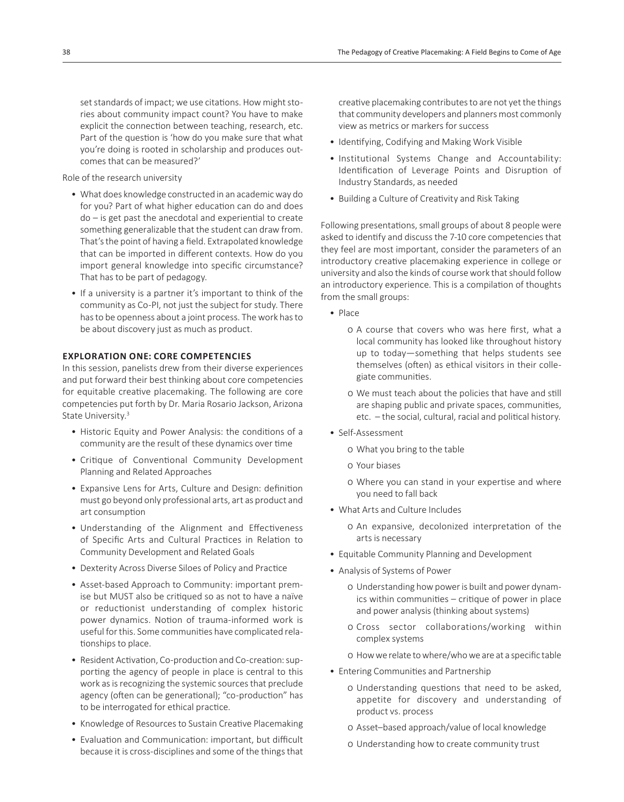set standards of impact; we use citations. How might stories about community impact count? You have to make explicit the connection between teaching, research, etc. Part of the question is 'how do you make sure that what you're doing is rooted in scholarship and produces outcomes that can be measured?'

Role of the research university

- What does knowledge constructed in an academic way do for you? Part of what higher education can do and does  $do$  – is get past the anecdotal and experiential to create something generalizable that the student can draw from. That's the point of having a field. Extrapolated knowledge that can be imported in different contexts. How do you import general knowledge into specific circumstance? That has to be part of pedagogy.
- If a university is a partner it's important to think of the community as Co-PI, not just the subject for study. There has to be openness about a joint process. The work has to be about discovery just as much as product.

## **EXPLORATION ONE: CORE COMPETENCIES**

In this session, panelists drew from their diverse experiences and put forward their best thinking about core competencies for equitable creative placemaking. The following are core competencies put forth by Dr. Maria Rosario Jackson, Arizona State University.<sup>3</sup>

- Historic Equity and Power Analysis: the conditions of a community are the result of these dynamics over time
- Critique of Conventional Community Development Planning and Related Approaches
- Expansive Lens for Arts, Culture and Design: definition must go beyond only professional arts, art as product and art consumption
- Understanding of the Alignment and Effectiveness of Specific Arts and Cultural Practices in Relation to Community Development and Related Goals
- Dexterity Across Diverse Siloes of Policy and Practice
- Asset-based Approach to Community: important premise but MUST also be critiqued so as not to have a naïve or reductionist understanding of complex historic power dynamics. Notion of trauma-informed work is useful for this. Some communities have complicated relationships to place.
- Resident Activation, Co-production and Co-creation: supporting the agency of people in place is central to this work as is recognizing the systemic sources that preclude agency (often can be generational); "co-production" has to be interrogated for ethical practice.
- Knowledge of Resources to Sustain Creative Placemaking
- Evaluation and Communication: important, but difficult because it is cross-disciplines and some of the things that

creative placemaking contributes to are not yet the things that community developers and planners most commonly view as metrics or markers for success

- Identifying, Codifying and Making Work Visible
- Institutional Systems Change and Accountability: Identification of Leverage Points and Disruption of Industry Standards, as needed
- Building a Culture of Creativity and Risk Taking

Following presentations, small groups of about 8 people were asked to identify and discuss the 7-10 core competencies that they feel are most important, consider the parameters of an introductory creative placemaking experience in college or university and also the kinds of course work that should follow an introductory experience. This is a compilation of thoughts from the small groups:

- Place
	- 0 A course that covers who was here first, what a local community has looked like throughout history up to today—something that helps students see themselves (often) as ethical visitors in their collegiate communities.
	- o We must teach about the policies that have and still are shaping public and private spaces, communities,  $etc.$  – the social, cultural, racial and political history.
- Self-Assessment
	- 0 What you bring to the table
	- 0 Your biases
	- o Where you can stand in your expertise and where you need to fall back
- What Arts and Culture Includes
	- 0 An expansive, decolonized interpretation of the arts is necessary
- Equitable Community Planning and Development
- Analysis of Systems of Power
	- 0 Understanding how power is built and power dynamics within communities  $-$  critique of power in place and power analysis (thinking about systems)
	- 0 Cross sector collaborations/working within complex systems
	- o How we relate to where/who we are at a specific table
- Entering Communities and Partnership
	- o Understanding questions that need to be asked, appetite for discovery and understanding of product vs. process
	- 0 Asset–based approach/value of local knowledge
	- 0 Understanding how to create community trust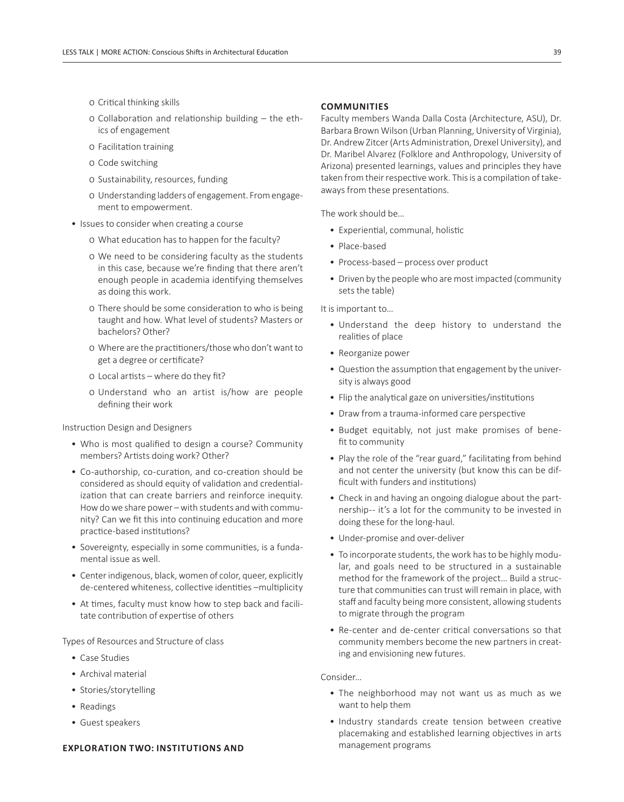- o Critical thinking skills
- $\circ$  Collaboration and relationship building the ethics of engagement
- o Facilitation training
- 0 Code switching
- 0 Sustainability, resources, funding
- 0 Understanding ladders of engagement. From engagement to empowerment.
- Issues to consider when creating a course
	- o What education has to happen for the faculty?
	- 0 We need to be considering faculty as the students in this case, because we're finding that there aren't enough people in academia identifying themselves as doing this work.
	- o There should be some consideration to who is being taught and how. What level of students? Masters or bachelors? Other?
	- o Where are the practitioners/those who don't want to get a degree or certificate?
	- $\circ$  Local artists where do they fit?
	- 0 Understand who an artist is/how are people defining their work

Instruction Design and Designers

- Who is most qualified to design a course? Community members? Artists doing work? Other?
- Co-authorship, co-curation, and co-creation should be considered as should equity of validation and credentialization that can create barriers and reinforce inequity. How do we share power – with students and with community? Can we fit this into continuing education and more practice-based institutions?
- Sovereignty, especially in some communities, is a fundamental issue as well.
- Center indigenous, black, women of color, queer, explicitly de-centered whiteness, collective identities -multiplicity
- At times, faculty must know how to step back and facilitate contribution of expertise of others

Types of Resources and Structure of class

- Case Studies
- Archival material
- Stories/storytelling
- Readings
- Guest speakers

#### **EXPLORATION TWO: INSTITUTIONS AND**

#### **COMMUNITIES**

Faculty members Wanda Dalla Costa (Architecture, ASU), Dr. Barbara Brown Wilson (Urban Planning, University of Virginia), Dr. Andrew Zitcer (Arts Administration, Drexel University), and Dr. Maribel Alvarez (Folklore and Anthropology, University of Arizona) presented learnings, values and principles they have taken from their respective work. This is a compilation of takeaways from these presentations.

The work should be…

- Experiential, communal, holistic
- Place-based
- Process-based process over product
- Driven by the people who are most impacted (community sets the table)

It is important to…

- Understand the deep history to understand the realities of place
- Reorganize power
- Question the assumption that engagement by the university is always good
- Flip the analytical gaze on universities/institutions
- Draw from a trauma-informed care perspective
- Budget equitably, not just make promises of benefit to community
- Play the role of the "rear guard," facilitating from behind and not center the university (but know this can be difficult with funders and institutions)
- Check in and having an ongoing dialogue about the partnership-- it's a lot for the community to be invested in doing these for the long-haul.
- Under-promise and over-deliver
- To incorporate students, the work has to be highly modular, and goals need to be structured in a sustainable method for the framework of the project... Build a structure that communities can trust will remain in place, with staff and faculty being more consistent, allowing students to migrate through the program
- Re-center and de-center critical conversations so that community members become the new partners in creating and envisioning new futures.

#### Consider…

- The neighborhood may not want us as much as we want to help them
- Industry standards create tension between creative placemaking and established learning objectives in arts management programs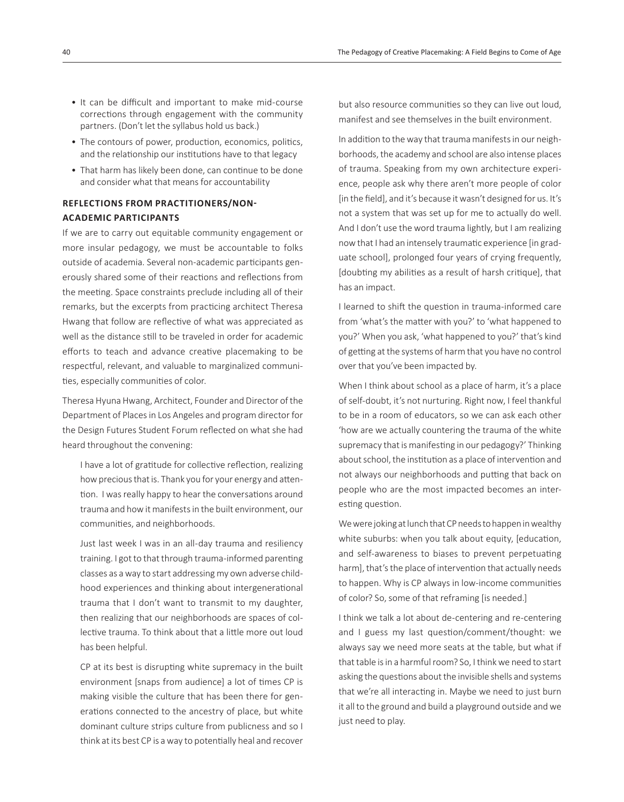- It can be difficult and important to make mid-course corrections through engagement with the community partners. (Don't let the syllabus hold us back.)
- The contours of power, production, economics, politics, and the relationship our institutions have to that legacy
- That harm has likely been done, can continue to be done and consider what that means for accountability

# **REFLECTIONS FROM PRACTITIONERS/NON-ACADEMIC PARTICIPANTS**

If we are to carry out equitable community engagement or more insular pedagogy, we must be accountable to folks outside of academia. Several non-academic participants generously shared some of their reactions and reflections from the meeting. Space constraints preclude including all of their remarks, but the excerpts from practicing architect Theresa Hwang that follow are reflective of what was appreciated as well as the distance still to be traveled in order for academic efforts to teach and advance creative placemaking to be respectful, relevant, and valuable to marginalized communities, especially communities of color.

Theresa Hyuna Hwang, Architect, Founder and Director of the Department of Places in Los Angeles and program director for the Design Futures Student Forum reflected on what she had heard throughout the convening:

I have a lot of gratitude for collective reflection, realizing how precious that is. Thank you for your energy and attention. I was really happy to hear the conversations around trauma and how it manifests in the built environment, our communities, and neighborhoods.

Just last week I was in an all-day trauma and resiliency training. I got to that through trauma-informed parenting classes as a way to start addressing my own adverse childhood experiences and thinking about intergenerational trauma that I don't want to transmit to my daughter, then realizing that our neighborhoods are spaces of collective trauma. To think about that a little more out loud has been helpful.

CP at its best is disrupting white supremacy in the built environment [snaps from audience] a lot of times CP is making visible the culture that has been there for generations connected to the ancestry of place, but white dominant culture strips culture from publicness and so I think at its best CP is a way to potentially heal and recover

but also resource communities so they can live out loud. manifest and see themselves in the built environment.

In addition to the way that trauma manifests in our neighborhoods, the academy and school are also intense places of trauma. Speaking from my own architecture experience, people ask why there aren't more people of color [in the field], and it's because it wasn't designed for us. It's not a system that was set up for me to actually do well. And I don't use the word trauma lightly, but I am realizing now that I had an intensely traumatic experience [in graduate school], prolonged four years of crying frequently, [doubting my abilities as a result of harsh critique], that has an impact.

I learned to shift the question in trauma-informed care from 'what's the matter with you?' to 'what happened to you?' When you ask, 'what happened to you?' that's kind of getting at the systems of harm that you have no control over that you've been impacted by.

When I think about school as a place of harm, it's a place of self-doubt, it's not nurturing. Right now, I feel thankful to be in a room of educators, so we can ask each other 'how are we actually countering the trauma of the white supremacy that is manifesting in our pedagogy?' Thinking about school, the institution as a place of intervention and not always our neighborhoods and putting that back on people who are the most impacted becomes an interesting question.

We were joking at lunch that CP needs to happen in wealthy white suburbs: when you talk about equity, [education, and self-awareness to biases to prevent perpetuating harm], that's the place of intervention that actually needs to happen. Why is CP always in low-income communities of color? So, some of that reframing [is needed.]

I think we talk a lot about de-centering and re-centering and I guess my last question/comment/thought: we always say we need more seats at the table, but what if that table is in a harmful room? So, I think we need to start asking the questions about the invisible shells and systems that we're all interacting in. Maybe we need to just burn it all to the ground and build a playground outside and we just need to play.